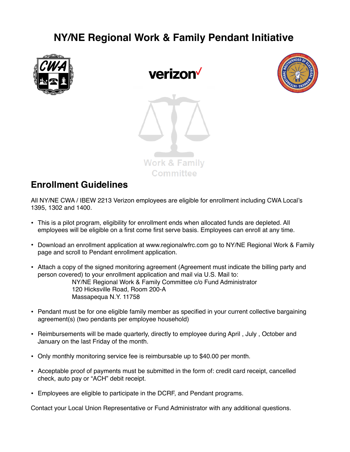## **NY/NE Regional Work & Family Pendant Initiative**



verizon





## **Enrollment Guidelines**

All NY/NE CWA / IBEW 2213 Verizon employees are eligible for enrollment including CWA Local's 1395, 1302 and 1400.

- This is a pilot program, eligibility for enrollment ends when allocated funds are depleted. All employees will be eligible on a first come first serve basis. Employees can enroll at any time.
- Download an enrollment application at www.regionalwfrc.com go to NY/NE Regional Work & Family page and scroll to Pendant enrollment application.
- Attach a copy of the signed monitoring agreement (Agreement must indicate the billing party and person covered) to your enrollment application and mail via U.S. Mail to: NY/NE Regional Work & Family Committee c/o Fund Administrator 120 Hicksville Road, Room 200-A Massapequa N.Y. 11758
- Pendant must be for one eligible family member as specified in your current collective bargaining agreement(s) (two pendants per employee household)
- Reimbursements will be made quarterly, directly to employee during April , July , October and January on the last Friday of the month.
- Only monthly monitoring service fee is reimbursable up to \$40.00 per month.
- Acceptable proof of payments must be submitted in the form of: credit card receipt, cancelled check, auto pay or "ACH" debit receipt.
- Employees are eligible to participate in the DCRF, and Pendant programs.

Contact your Local Union Representative or Fund Administrator with any additional questions.